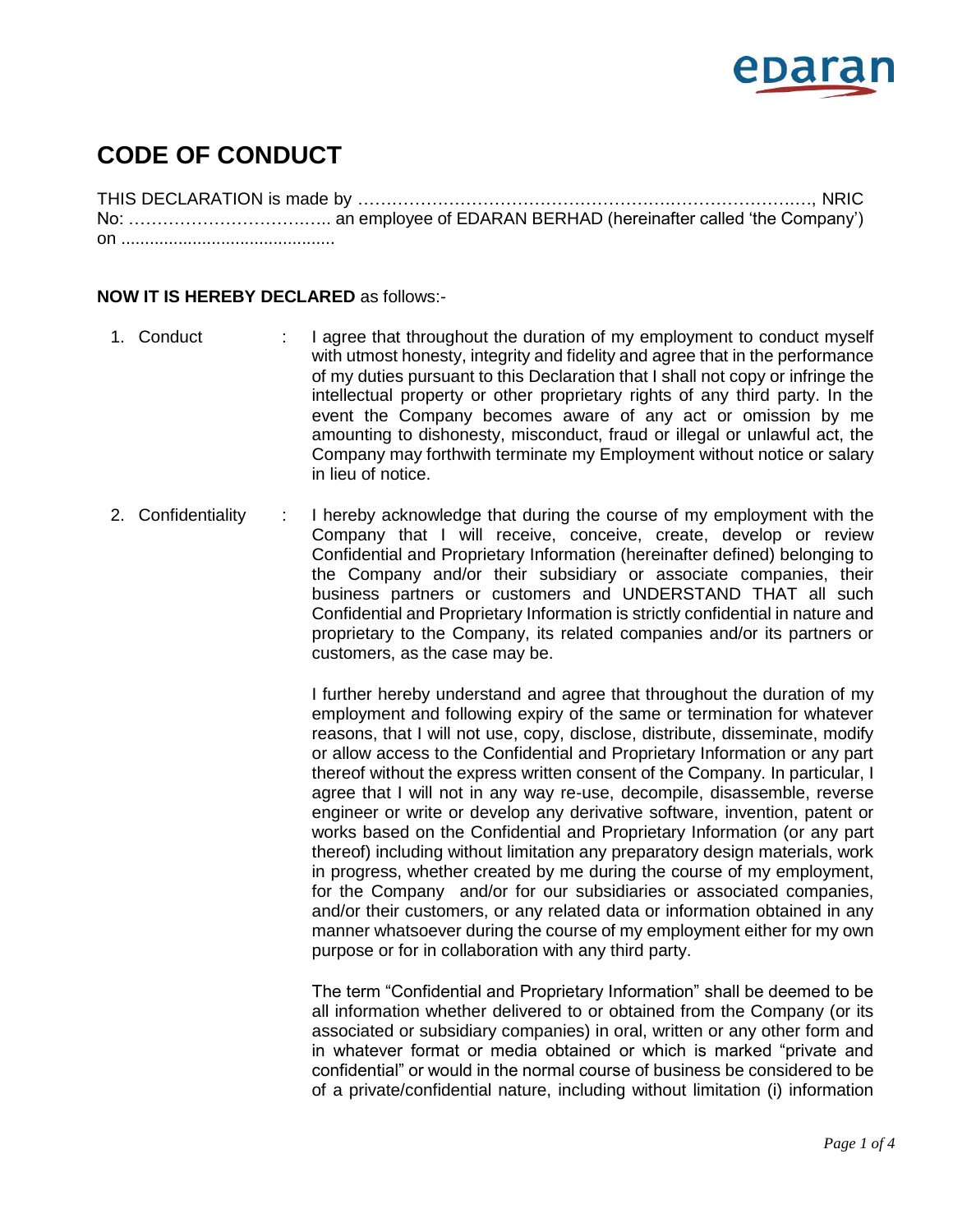

## **CODE OF CONDUCT**

THIS DECLARATION is made by ……………………………………………….………………….…, NRIC No: ………………………….….. an employee of EDARAN BERHAD (hereinafter called 'the Company') on .............................................

## **NOW IT IS HEREBY DECLARED** as follows:-

- 1. Conduct : I agree that throughout the duration of my employment to conduct myself with utmost honesty, integrity and fidelity and agree that in the performance of my duties pursuant to this Declaration that I shall not copy or infringe the intellectual property or other proprietary rights of any third party. In the event the Company becomes aware of any act or omission by me amounting to dishonesty, misconduct, fraud or illegal or unlawful act, the Company may forthwith terminate my Employment without notice or salary in lieu of notice.
- 2. Confidentiality : I hereby acknowledge that during the course of my employment with the Company that I will receive, conceive, create, develop or review Confidential and Proprietary Information (hereinafter defined) belonging to the Company and/or their subsidiary or associate companies, their business partners or customers and UNDERSTAND THAT all such Confidential and Proprietary Information is strictly confidential in nature and proprietary to the Company, its related companies and/or its partners or customers, as the case may be.

I further hereby understand and agree that throughout the duration of my employment and following expiry of the same or termination for whatever reasons, that I will not use, copy, disclose, distribute, disseminate, modify or allow access to the Confidential and Proprietary Information or any part thereof without the express written consent of the Company. In particular, I agree that I will not in any way re-use, decompile, disassemble, reverse engineer or write or develop any derivative software, invention, patent or works based on the Confidential and Proprietary Information (or any part thereof) including without limitation any preparatory design materials, work in progress, whether created by me during the course of my employment, for the Company and/or for our subsidiaries or associated companies, and/or their customers, or any related data or information obtained in any manner whatsoever during the course of my employment either for my own purpose or for in collaboration with any third party.

The term "Confidential and Proprietary Information" shall be deemed to be all information whether delivered to or obtained from the Company (or its associated or subsidiary companies) in oral, written or any other form and in whatever format or media obtained or which is marked "private and confidential" or would in the normal course of business be considered to be of a private/confidential nature, including without limitation (i) information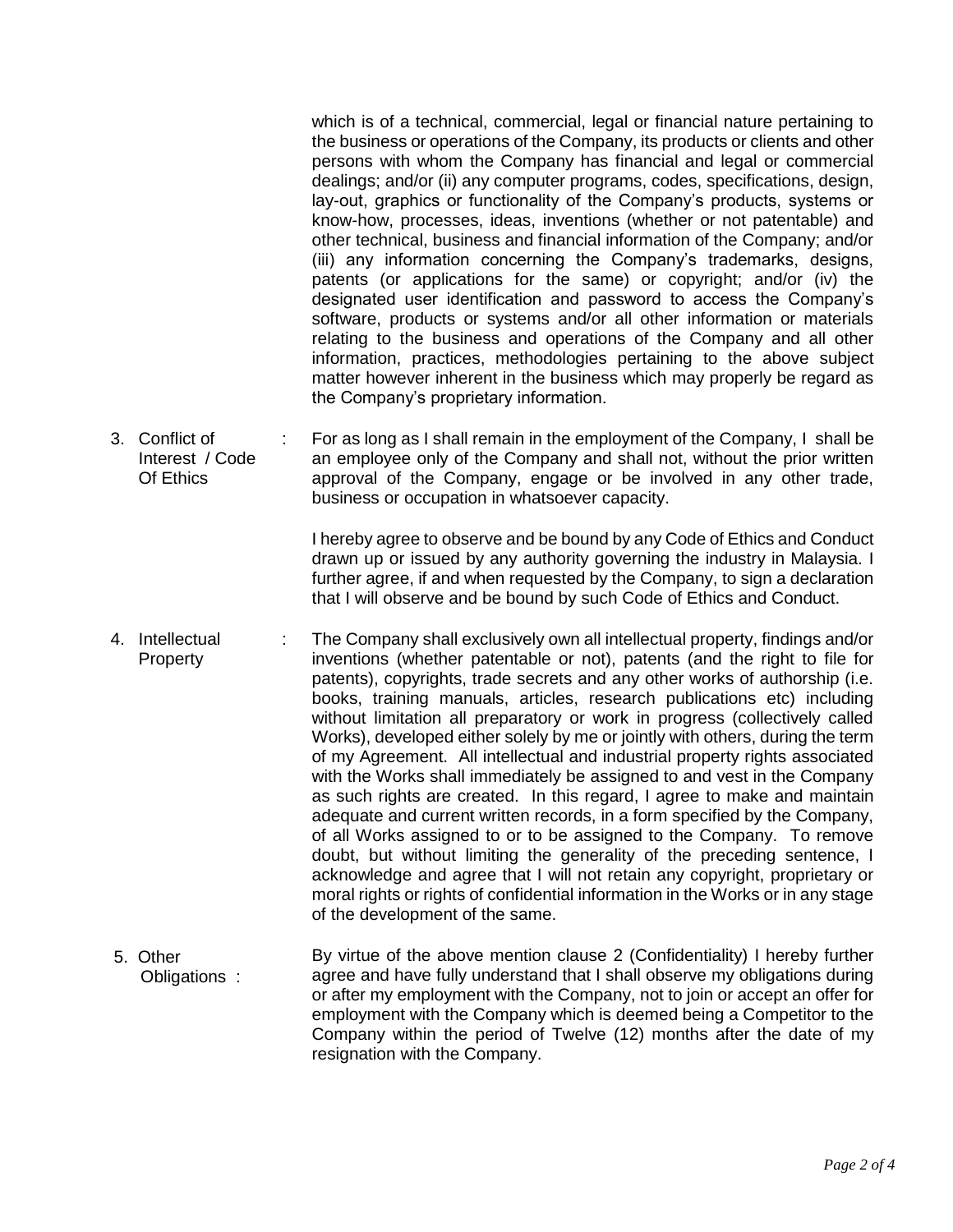which is of a technical, commercial, legal or financial nature pertaining to the business or operations of the Company, its products or clients and other persons with whom the Company has financial and legal or commercial dealings; and/or (ii) any computer programs, codes, specifications, design, lay-out, graphics or functionality of the Company's products, systems or know-how, processes, ideas, inventions (whether or not patentable) and other technical, business and financial information of the Company; and/or (iii) any information concerning the Company's trademarks, designs, patents (or applications for the same) or copyright; and/or (iv) the designated user identification and password to access the Company's software, products or systems and/or all other information or materials relating to the business and operations of the Company and all other information, practices, methodologies pertaining to the above subject matter however inherent in the business which may properly be regard as the Company's proprietary information.

3. Conflict of Interest / Code Of Ethics : For as long as I shall remain in the employment of the Company, I shall be an employee only of the Company and shall not, without the prior written approval of the Company, engage or be involved in any other trade, business or occupation in whatsoever capacity.

> I hereby agree to observe and be bound by any Code of Ethics and Conduct drawn up or issued by any authority governing the industry in Malaysia. I further agree, if and when requested by the Company, to sign a declaration that I will observe and be bound by such Code of Ethics and Conduct.

- 4. Intellectual **Property** : The Company shall exclusively own all intellectual property, findings and/or inventions (whether patentable or not), patents (and the right to file for patents), copyrights, trade secrets and any other works of authorship (i.e. books, training manuals, articles, research publications etc) including without limitation all preparatory or work in progress (collectively called Works), developed either solely by me or jointly with others, during the term of my Agreement. All intellectual and industrial property rights associated with the Works shall immediately be assigned to and vest in the Company as such rights are created. In this regard, I agree to make and maintain adequate and current written records, in a form specified by the Company, of all Works assigned to or to be assigned to the Company. To remove doubt, but without limiting the generality of the preceding sentence, I acknowledge and agree that I will not retain any copyright, proprietary or moral rights or rights of confidential information in the Works or in any stage of the development of the same.
- 5. Other Obligations : By virtue of the above mention clause 2 (Confidentiality) I hereby further agree and have fully understand that I shall observe my obligations during or after my employment with the Company, not to join or accept an offer for employment with the Company which is deemed being a Competitor to the Company within the period of Twelve (12) months after the date of my resignation with the Company.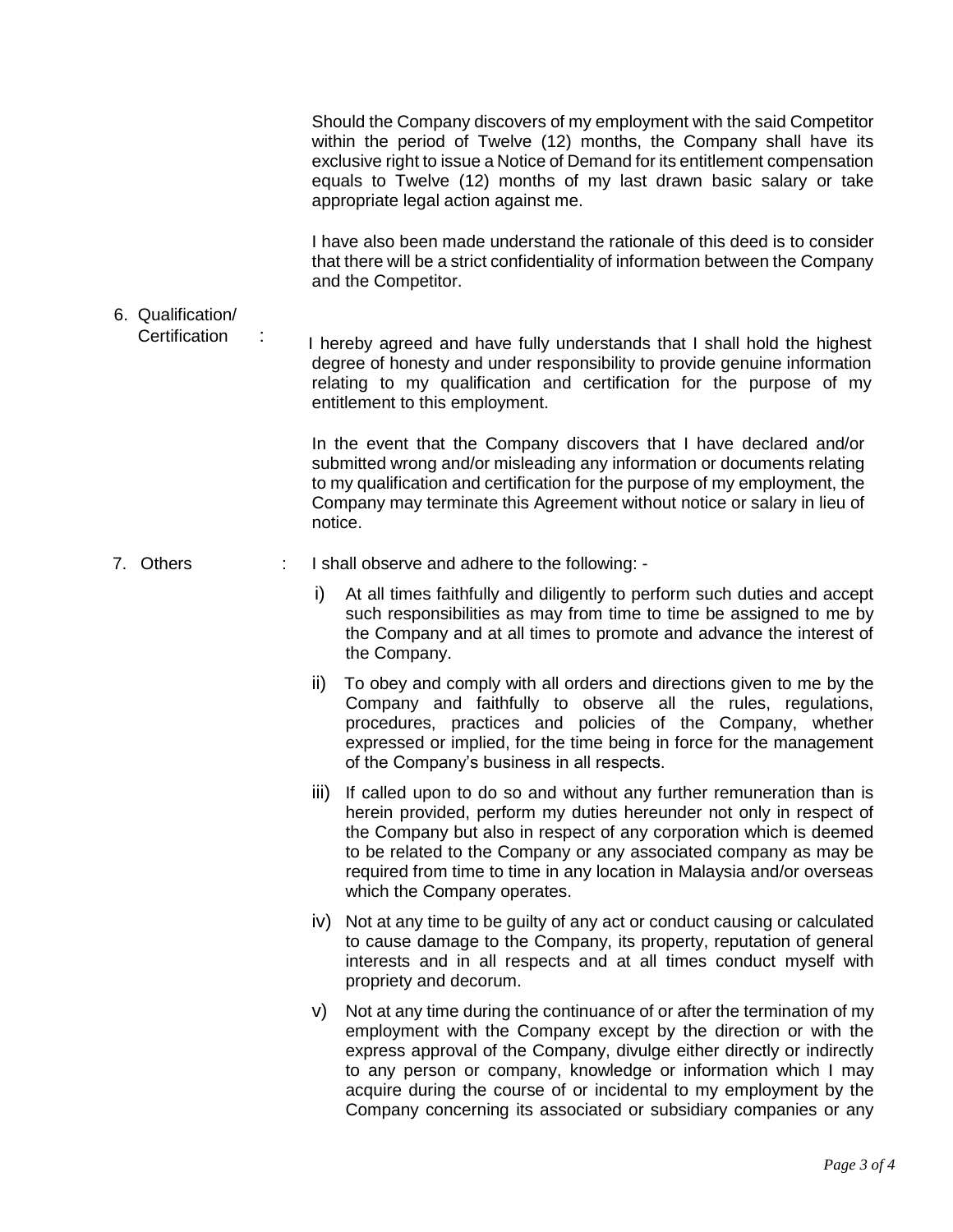Should the Company discovers of my employment with the said Competitor within the period of Twelve (12) months, the Company shall have its exclusive right to issue a Notice of Demand for its entitlement compensation equals to Twelve (12) months of my last drawn basic salary or take appropriate legal action against me.

I have also been made understand the rationale of this deed is to consider that there will be a strict confidentiality of information between the Company and the Competitor.

6. Qualification/

 Certification : I hereby agreed and have fully understands that I shall hold the highest degree of honesty and under responsibility to provide genuine information relating to my qualification and certification for the purpose of my entitlement to this employment.

> In the event that the Company discovers that I have declared and/or submitted wrong and/or misleading any information or documents relating to my qualification and certification for the purpose of my employment, the Company may terminate this Agreement without notice or salary in lieu of notice.

- 7. Others : I shall observe and adhere to the following:
	- i) At all times faithfully and diligently to perform such duties and accept such responsibilities as may from time to time be assigned to me by the Company and at all times to promote and advance the interest of the Company.
	- ii) To obey and comply with all orders and directions given to me by the Company and faithfully to observe all the rules, regulations, procedures, practices and policies of the Company, whether expressed or implied, for the time being in force for the management of the Company's business in all respects.
	- iii) If called upon to do so and without any further remuneration than is herein provided, perform my duties hereunder not only in respect of the Company but also in respect of any corporation which is deemed to be related to the Company or any associated company as may be required from time to time in any location in Malaysia and/or overseas which the Company operates.
	- iv) Not at any time to be guilty of any act or conduct causing or calculated to cause damage to the Company, its property, reputation of general interests and in all respects and at all times conduct myself with propriety and decorum.
	- v) Not at any time during the continuance of or after the termination of my employment with the Company except by the direction or with the express approval of the Company, divulge either directly or indirectly to any person or company, knowledge or information which I may acquire during the course of or incidental to my employment by the Company concerning its associated or subsidiary companies or any